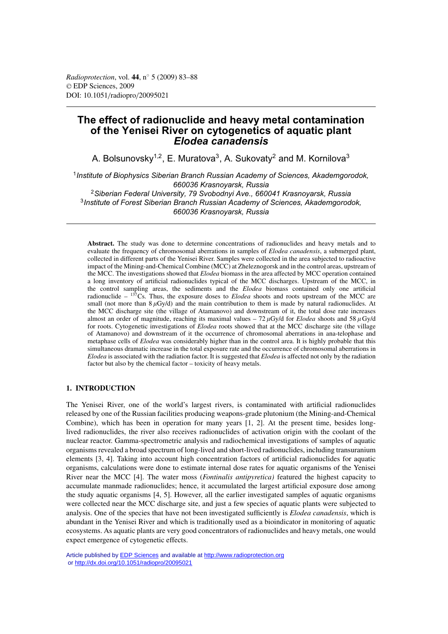# **The effect of radionuclide and heavy metal contamination of the Yenisei River on cytogenetics of aquatic plant** *Elodea canadensis*

A. Bolsunovsky<sup>1,2</sup>, E. Muratova<sup>3</sup>, A. Sukovaty<sup>2</sup> and M. Kornilova<sup>3</sup>

<sup>1</sup>*Institute of Biophysics Siberian Branch Russian Academy of Sciences, Akademgorodok, 660036 Krasnoyarsk, Russia*

<sup>2</sup>*Siberian Federal University, 79 Svobodnyi Ave., 660041 Krasnoyarsk, Russia* <sup>3</sup>*Institute of Forest Siberian Branch Russian Academy of Sciences, Akademgorodok, 660036 Krasnoyarsk, Russia*

**Abstract.** The study was done to determine concentrations of radionuclides and heavy metals and to evaluate the frequency of chromosomal aberrations in samples of *Elodea canadensis*, a submerged plant, collected in different parts of the Yenisei River. Samples were collected in the area subjected to radioactive impact of the Mining-and-Chemical Combine (MCC) at Zheleznogorsk and in the control areas, upstream of the MCC. The investigations showed that *Elodea* biomass in the area affected by MCC operation contained a long inventory of artificial radionuclides typical of the MCC discharges. Upstream of the MCC, in the control sampling areas, the sediments and the *Elodea* biomass contained only one artificial radionuclide – 137Cs. Thus, the exposure doses to *Elodea* shoots and roots upstream of the MCC are small (not more than  $8 \mu$ Gy/d) and the main contribution to them is made by natural radionuclides. At the MCC discharge site (the village of Atamanovo) and downstream of it, the total dose rate increases almost an order of magnitude, reaching its maximal values  $-72 \mu Gy/d$  for *Elodea* shoots and 58  $\mu Gy/d$ for roots. Cytogenetic investigations of *Elodea* roots showed that at the MCC discharge site (the village of Atamanovo) and downstream of it the occurrence of chromosomal aberrations in ana-telophase and metaphase cells of *Elodea* was considerably higher than in the control area. It is highly probable that this simultaneous dramatic increase in the total exposure rate and the occurrence of chromosomal aberrations in *Elodea* is associated with the radiation factor. It is suggested that *Elodea* is affected not only by the radiation factor but also by the chemical factor – toxicity of heavy metals.

### **1. INTRODUCTION**

The Yenisei River, one of the world's largest rivers, is contaminated with artificial radionuclides released by one of the Russian facilities producing weapons-grade plutonium (the Mining-and-Chemical Combine), which has been in operation for many years [1, 2]. At the present time, besides longlived radionuclides, the river also receives radionuclides of activation origin with the coolant of the nuclear reactor. Gamma-spectrometric analysis and radiochemical investigations of samples of aquatic organisms revealed a broad spectrum of long-lived and short-lived radionuclides, including transuranium elements [3, 4]. Taking into account high concentration factors of artificial radionuclides for aquatic organisms, calculations were done to estimate internal dose rates for aquatic organisms of the Yenisei River near the MCC [4]. The water moss (*Fontinalis antipyretica)* featured the highest capacity to accumulate manmade radionuclides; hence, it accumulated the largest artificial exposure dose among the study aquatic organisms [4, 5]. However, all the earlier investigated samples of aquatic organisms were collected near the MCC discharge site, and just a few species of aquatic plants were subjected to analysis. One of the species that have not been investigated sufficiently is *Elodea canadensis*, which is abundant in the Yenisei River and which is traditionally used as a bioindicator in monitoring of aquatic ecosystems. As aquatic plants are very good concentrators of radionuclides and heavy metals, one would expect emergence of cytogenetic effects.

Article published by [EDP Sciences](http://www.edpsciences.org) and available at<http://www.radioprotection.org> or <http://dx.doi.org/10.1051/radiopro/20095021>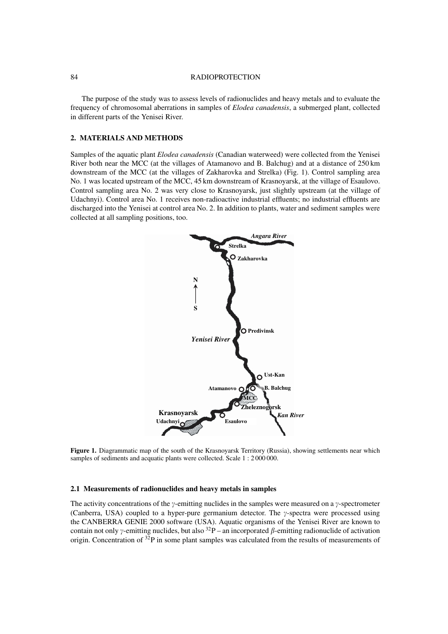#### 84 RADIOPROTECTION

The purpose of the study was to assess levels of radionuclides and heavy metals and to evaluate the frequency of chromosomal aberrations in samples of *Elodea canadensis*, a submerged plant, collected in different parts of the Yenisei River.

# **2. MATERIALS AND METHODS**

Samples of the aquatic plant *Elodea canadensis* (Canadian waterweed) were collected from the Yenisei River both near the MCC (at the villages of Atamanovo and B. Balchug) and at a distance of 250 km downstream of the MCC (at the villages of Zakharovka and Strelka) (Fig. 1). Control sampling area No. 1 was located upstream of the MCC, 45 km downstream of Krasnoyarsk, at the village of Esaulovo. Control sampling area No. 2 was very close to Krasnoyarsk, just slightly upstream (at the village of Udachnyi). Control area No. 1 receives non-radioactive industrial effluents; no industrial effluents are discharged into the Yenisei at control area No. 2. In addition to plants, water and sediment samples were collected at all sampling positions, too.



**Figure 1.** Diagrammatic map of the south of the Krasnovarsk Territory (Russia), showing settlements near which samples of sediments and acquatic plants were collected. Scale 1 : 2 000 000.

### **2.1 Measurements of radionuclides and heavy metals in samples**

The activity concentrations of the  $\gamma$ -emitting nuclides in the samples were measured on a  $\gamma$ -spectrometer (Canberra, USA) coupled to a hyper-pure germanium detector. The  $\gamma$ -spectra were processed using the CANBERRA GENIE 2000 software (USA). Aquatic organisms of the Yenisei River are known to contain not only  $\gamma$ -emitting nuclides, but also  $^{32}P$  – an incorporated  $\beta$ -emitting radionuclide of activation origin. Concentration of  $32P$  in some plant samples was calculated from the results of measurements of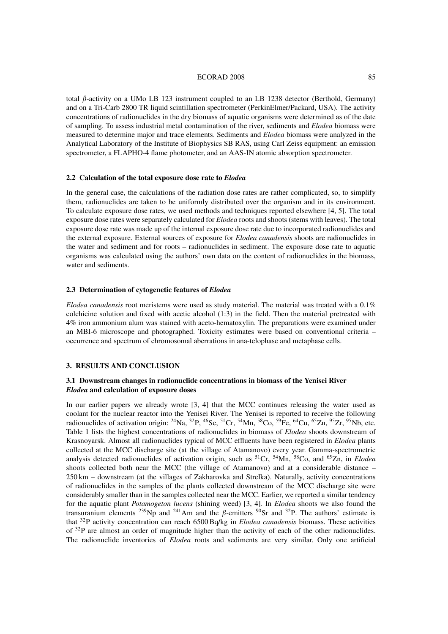#### ECORAD 2008 85

total  $\beta$ -activity on a UMo LB 123 instrument coupled to an LB 1238 detector (Berthold, Germany) and on a Tri-Carb 2800 TR liquid scintillation spectrometer (PerkinElmer/Packard, USA). The activity concentrations of radionuclides in the dry biomass of aquatic organisms were determined as of the date of sampling. To assess industrial metal contamination of the river, sediments and *Elodea* biomass were measured to determine major and trace elements. Sediments and *Elodea* biomass were analyzed in the Analytical Laboratory of the Institute of Biophysics SB RAS, using Carl Zeiss equipment: an emission spectrometer, a FLAPHO-4 flame photometer, and an AAS-IN atomic absorption spectrometer.

### **2.2 Calculation of the total exposure dose rate to** *Elodea*

In the general case, the calculations of the radiation dose rates are rather complicated, so, to simplify them, radionuclides are taken to be uniformly distributed over the organism and in its environment. To calculate exposure dose rates, we used methods and techniques reported elsewhere [4, 5]. The total exposure dose rates were separately calculated for *Elodea* roots and shoots (stems with leaves). The total exposure dose rate was made up of the internal exposure dose rate due to incorporated radionuclides and the external exposure. External sources of exposure for *Elodea canadensis* shoots are radionuclides in the water and sediment and for roots – radionuclides in sediment. The exposure dose rate to aquatic organisms was calculated using the authors' own data on the content of radionuclides in the biomass, water and sediments.

#### **2.3 Determination of cytogenetic features of** *Elodea*

*Elodea canadensis* root meristems were used as study material. The material was treated with a 0.1% colchicine solution and fixed with acetic alcohol (1:3) in the field. Then the material pretreated with 4% iron ammonium alum was stained with aceto-hematoxylin. The preparations were examined under an MBI-6 microscope and photographed. Toxicity estimates were based on conventional criteria – occurrence and spectrum of chromosomal aberrations in ana-telophase and metaphase cells.

## **3. RESULTS AND CONCLUSION**

### **3.1 Downstream changes in radionuclide concentrations in biomass of the Yenisei River** *Elodea* **and calculation of exposure doses**

In our earlier papers we already wrote [3, 4] that the MCC continues releasing the water used as coolant for the nuclear reactor into the Yenisei River. The Yenisei is reported to receive the following radionuclides of activation origin: <sup>24</sup>Na, <sup>32</sup>P, <sup>46</sup>Sc, <sup>51</sup>Cr, <sup>54</sup>Mn, <sup>58</sup>Co, <sup>59</sup>Fe, <sup>64</sup>Cu, <sup>65</sup>Zn, <sup>95</sup>Zr, <sup>95</sup>Nb, etc. Table 1 lists the highest concentrations of radionuclides in biomass of *Elodea* shoots downstream of Krasnoyarsk. Almost all radionuclides typical of MCC effluents have been registered in *Elodea* plants collected at the MCC discharge site (at the village of Atamanovo) every year. Gamma-spectrometric analysis detected radionuclides of activation origin, such as 51Cr, 54Mn, 58Co, and 65Zn, in *Elodea* shoots collected both near the MCC (the village of Atamanovo) and at a considerable distance – 250 km – downstream (at the villages of Zakharovka and Strelka). Naturally, activity concentrations of radionuclides in the samples of the plants collected downstream of the MCC discharge site were considerably smaller than in the samples collected near the MCC. Earlier, we reported a similar tendency for the aquatic plant *Potamogeton lucens* (shining weed) [3, 4]. In *Elodea* shoots we also found the transuranium elements <sup>239</sup>Np and <sup>241</sup>Am and the  $\beta$ -emitters <sup>90</sup>Sr and <sup>32</sup>P. The authors' estimate is that 32P activity concentration can reach 6500 Bq/kg in *Elodea canadensis* biomass. These activities of 32P are almost an order of magnitude higher than the activity of each of the other radionuclides. The radionuclide inventories of *Elodea* roots and sediments are very similar. Only one artificial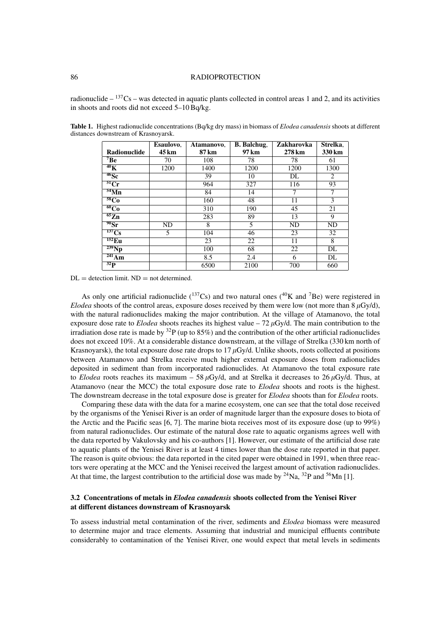### 86 RADIOPROTECTION

radionuclide  $-$  <sup>137</sup>Cs – was detected in aquatic plants collected in control areas 1 and 2, and its activities in shoots and roots did not exceed 5–10 Bq/kg.

|                        | Esaulovo, | Atamanovo. | <b>B.</b> Balchug, | <b>Zakharovka</b> | Strelka.    |
|------------------------|-----------|------------|--------------------|-------------------|-------------|
| Radionuclide           | 45 km     | 87 km      | 97 km              | 278 km            | 330 km      |
| $7\mathrm{Be}$         | 70        | 108        | 78                 | 78                | 61          |
| $^{40}$ K              | 1200      | 1400       | 1200               | 1200              | 1300        |
| $46$ Sc                |           | 39         | 10                 | DL                | 2           |
| $\overline{{}^{51}Cr}$ |           | 964        | 327                | 116               | 93          |
| $\overline{54}$ Mn     |           | 84         | 14                 | 7                 | $\tau$      |
| <sup>58</sup> Co       |           | 160        | 48                 | 11                | 3           |
| $\overline{60Co}$      |           | 310        | 190                | 45                | 21          |
| $\overline{^{65}Zn}$   |           | 283        | 89                 | 13                | $\mathbf Q$ |
| $^{90}Sr$              | ND        | 8          | 5                  | ND                | ND          |
| 137Cs                  | 5         | 104        | 46                 | 23                | 32          |
| $^{152}$ Eu            |           | 23         | 22                 | 11                | 8           |
| $239$ Np               |           | 100        | 68                 | 22                | DL          |
| $\overline{^{241}Am}$  |           | 8.5        | 2.4                | 6                 | DL          |
| $32\overline{P}$       |           | 6500       | 2100               | 700               | 660         |

**Table 1.** Highest radionuclide concentrations (Bq/kg dry mass) in biomass of *Elodea canadensis* shoots at different distances downstream of Krasnoyarsk.

 $DL =$  detection limit.  $ND =$  not determined.

As only one artificial radionuclide ( $^{137}Cs$ ) and two natural ones ( $^{40}K$  and  $^{7}Be$ ) were registered in *Elodea* shoots of the control areas, exposure doses received by them were low (not more than  $8 \mu\text{Gy/d}$ ), with the natural radionuclides making the major contribution. At the village of Atamanovo, the total exposure dose rate to *Elodea* shoots reaches its highest value  $-72 \mu Gy/d$ . The main contribution to the irradiation dose rate is made by  ${}^{32}P$  (up to  $85\%$ ) and the contribution of the other artificial radionuclides does not exceed 10%. At a considerable distance downstream, at the village of Strelka (330 km north of Krasnoyarsk), the total exposure dose rate drops to 17  $\mu$ Gy/d. Unlike shoots, roots collected at positions between Atamanovo and Strelka receive much higher external exposure doses from radionuclides deposited in sediment than from incorporated radionuclides. At Atamanovo the total exposure rate to *Elodea* roots reaches its maximum – 58  $\mu$ Gy/d, and at Strelka it decreases to 26  $\mu$ Gy/d. Thus, at Atamanovo (near the MCC) the total exposure dose rate to *Elodea* shoots and roots is the highest. The downstream decrease in the total exposure dose is greater for *Elodea* shoots than for *Elodea* roots.

Comparing these data with the data for a marine ecosystem, one can see that the total dose received by the organisms of the Yenisei River is an order of magnitude larger than the exposure doses to biota of the Arctic and the Pacific seas [6, 7]. The marine biota receives most of its exposure dose (up to 99%) from natural radionuclides. Our estimate of the natural dose rate to aquatic organisms agrees well with the data reported by Vakulovsky and his co-authors [1]. However, our estimate of the artificial dose rate to aquatic plants of the Yenisei River is at least 4 times lower than the dose rate reported in that paper. The reason is quite obvious: the data reported in the cited paper were obtained in 1991, when three reactors were operating at the MCC and the Yenisei received the largest amount of activation radionuclides. At that time, the largest contribution to the artificial dose was made by  $^{24}$ Na,  $^{32}$ P and  $^{56}$ Mn [1].

# **3.2 Concentrations of metals in** *Elodea canadensis* **shoots collected from the Yenisei River at different distances downstream of Krasnoyarsk**

To assess industrial metal contamination of the river, sediments and *Elodea* biomass were measured to determine major and trace elements. Assuming that industrial and municipal effluents contribute considerably to contamination of the Yenisei River, one would expect that metal levels in sediments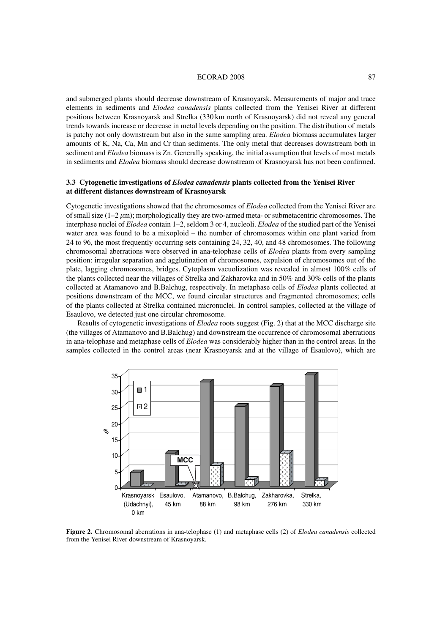#### ECORAD 2008 87

and submerged plants should decrease downstream of Krasnoyarsk. Measurements of major and trace elements in sediments and *Elodea canadensis* plants collected from the Yenisei River at different positions between Krasnoyarsk and Strelka (330 km north of Krasnoyarsk) did not reveal any general trends towards increase or decrease in metal levels depending on the position. The distribution of metals is patchy not only downstream but also in the same sampling area. *Elodea* biomass accumulates larger amounts of K, Na, Ca, Mn and Cr than sediments. The only metal that decreases downstream both in sediment and *Elodea* biomass is Zn. Generally speaking, the initial assumption that levels of most metals in sediments and *Elodea* biomass should decrease downstream of Krasnoyarsk has not been confirmed.

# **3.3 Cytogenetic investigations of** *Elodea canadensis* **plants collected from the Yenisei River at different distances downstream of Krasnoyarsk**

Cytogenetic investigations showed that the chromosomes of *Elodea* collected from the Yenisei River are of small size  $(1-2 \mu m)$ ; morphologically they are two-armed meta- or submetacentric chromosomes. The interphase nuclei of *Elodea* contain 1–2, seldom 3 or 4, nucleoli. *Elodea* of the studied part of the Yenisei water area was found to be a mixoploid – the number of chromosomes within one plant varied from 24 to 96, the most frequently occurring sets containing 24, 32, 40, and 48 chromosomes. The following chromosomal aberrations were observed in ana-telophase cells of *Elodea* plants from every sampling position: irregular separation and agglutination of chromosomes, expulsion of chromosomes out of the plate, lagging chromosomes, bridges. Cytoplasm vacuolization was revealed in almost 100% cells of the plants collected near the villages of Strelka and Zakharovka and in 50% and 30% cells of the plants collected at Atamanovo and B.Balchug, respectively. In metaphase cells of *Elodea* plants collected at positions downstream of the MCC, we found circular structures and fragmented chromosomes; cells of the plants collected at Strelka contained micronuclei. In control samples, collected at the village of Esaulovo, we detected just one circular chromosome.

Results of cytogenetic investigations of *Elodea* roots suggest (Fig. 2) that at the MCC discharge site (the villages of Atamanovo and B.Balchug) and downstream the occurrence of chromosomal aberrations in ana-telophase and metaphase cells of *Elodea* was considerably higher than in the control areas. In the samples collected in the control areas (near Krasnoyarsk and at the village of Esaulovo), which are



**Figure 2.** Chromosomal aberrations in ana-telophase (1) and metaphase cells (2) of *Elodea canadensis* collected from the Yenisei River downstream of Krasnoyarsk.